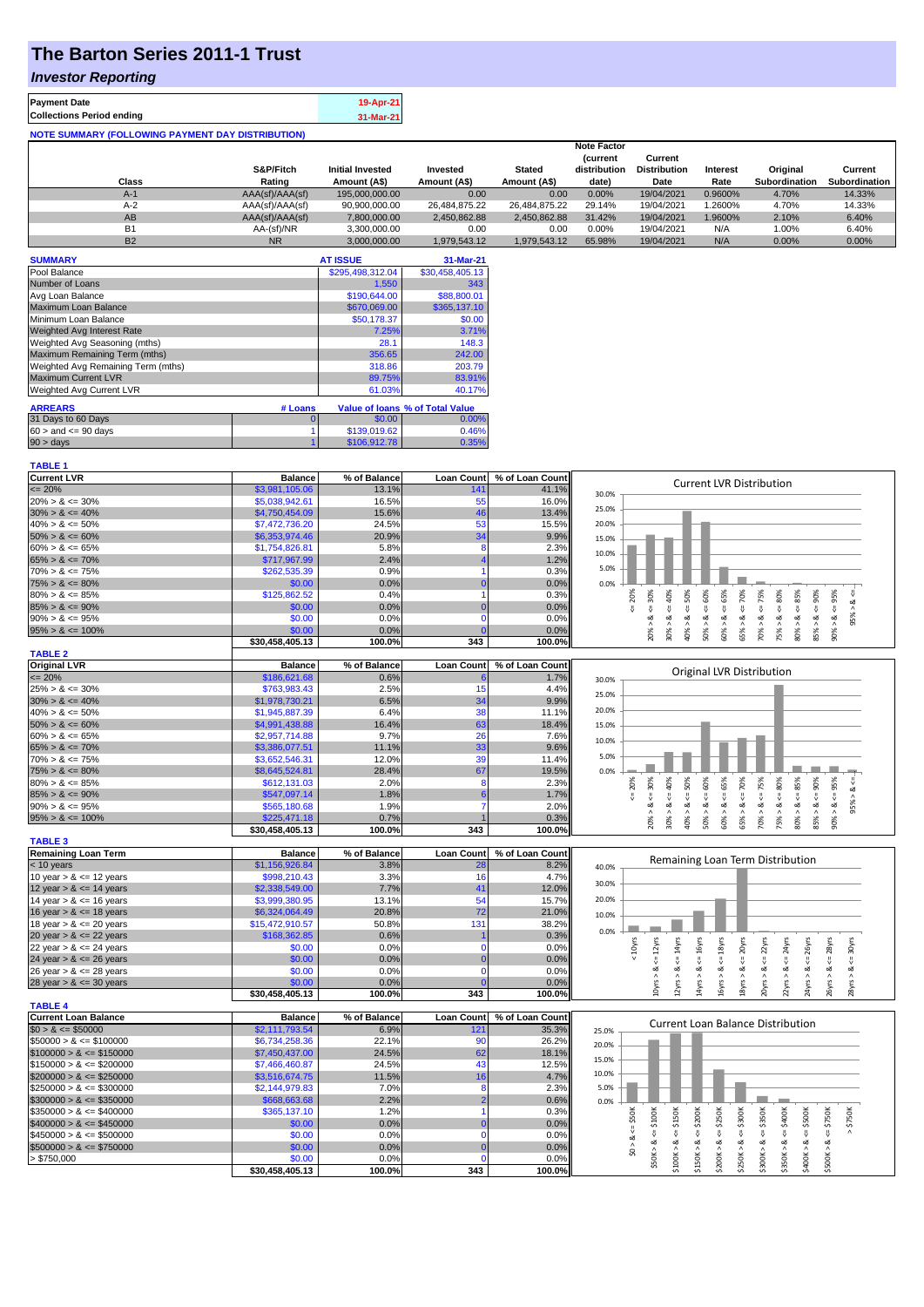### **The Barton Series 2011-1 Trust**

#### *Investor Reporting*

| <b>Payment Date</b>                                      | 19-Apr-21 |
|----------------------------------------------------------|-----------|
| <b>Collections Period ending</b>                         | 31-Mar-21 |
| <b>NOTE SUMMARY (FOLLOWING PAYMENT DAY DISTRIBUTION)</b> |           |

|           |                 |                         |               |               | <b>Note Factor</b> |                     |                 |               |               |
|-----------|-----------------|-------------------------|---------------|---------------|--------------------|---------------------|-----------------|---------------|---------------|
|           |                 |                         |               |               | <b>Current</b>     | Current             |                 |               |               |
|           | S&P/Fitch       | <b>Initial Invested</b> | Invested      | <b>Stated</b> | distribution       | <b>Distribution</b> | <b>Interest</b> | Original      | Current       |
| Class     | Rating          | Amount (A\$)            | Amount (A\$)  | Amount (A\$)  | date)              | Date                | Rate            | Subordination | Subordination |
| $A-1$     | AAA(sf)/AAA(sf) | 195.000.000.00          | 0.00          | 0.00          | 0.00%              | 19/04/2021          | 0.9600%         | 4.70%         | 14.33%        |
| $A-2$     | AAA(sf)/AAA(sf) | 90,900,000.00           | 26,484,875.22 | 26.484.875.22 | 29.14%             | 19/04/2021          | 1.2600%         | 4.70%         | 14.33%        |
| AB        | AAA(sf)/AAA(sf) | 7,800,000.00            | 2,450,862.88  | 2.450.862.88  | 31.42%             | 19/04/2021          | 1.9600%         | 2.10%         | 6.40%         |
| <b>B1</b> | AA-(sf)/NR      | 3.300.000.00            | 0.00          | 0.00          | 0.00%              | 19/04/2021          | N/A             | 1.00%         | 6.40%         |
| <b>B2</b> | <b>NR</b>       | 3.000.000.00            | 1.979.543.12  | 1.979.543.12  | 65.98%             | 19/04/2021          | N/A             | 0.00%         | 0.00%         |

| <b>SUMMARY</b>                     |         | <b>AT ISSUE</b>  | 31-Mar-21                       |
|------------------------------------|---------|------------------|---------------------------------|
| Pool Balance                       |         | \$295,498,312.04 | \$30,458,405.13                 |
| Number of Loans                    |         | 1,550            | 343                             |
| Avg Loan Balance                   |         | \$190,644.00     | \$88,800.01                     |
| Maximum Loan Balance               |         | \$670,069.00     | \$365,137.10                    |
| Minimum Loan Balance               |         | \$50,178.37      | \$0.00                          |
| Weighted Avg Interest Rate         |         | 7.25%            | 3.71%                           |
| Weighted Avg Seasoning (mths)      |         | 28.1             | 148.3                           |
| Maximum Remaining Term (mths)      |         | 356.65           | 242.00                          |
| Weighted Avg Remaining Term (mths) |         | 318.86           | 203.79                          |
| <b>Maximum Current LVR</b>         |         | 89.75%           | 83.91%                          |
| Weighted Avg Current LVR           |         | 61.03%           | 40.17%                          |
| <b>ARREARS</b>                     | # Loans |                  | Value of Ioans % of Total Value |
| 31 Days to 60 Days                 | 0       | \$0.00           | 0.00%                           |
| $60 >$ and $\leq 90$ days          |         | \$139,019.62     | 0.46%                           |
| 90 > days                          |         | \$106,912.78     | 0.35%                           |

| <b>TABLE 1</b>              |                           |                |                   |                 |                                                                                                                                                                                                                      |
|-----------------------------|---------------------------|----------------|-------------------|-----------------|----------------------------------------------------------------------------------------------------------------------------------------------------------------------------------------------------------------------|
| <b>Current LVR</b>          | <b>Balance</b>            | % of Balance   | <b>Loan Count</b> | % of Loan Count |                                                                                                                                                                                                                      |
| $= 20%$                     | \$3,981,105.06            | 13.1%          | 14 <sup>′</sup>   | 41.1%           | <b>Current LVR Distribution</b><br>30.0%                                                                                                                                                                             |
| $20\% > 8 \le 30\%$         | \$5.038.942.61            | 16.5%          | 55                | 16.0%           |                                                                                                                                                                                                                      |
| $30\% > 8 \le 40\%$         | \$4,750,454.09            | 15.6%          | 46                | 13.4%           | 25.0%                                                                                                                                                                                                                |
| $40\% > 8 \le 50\%$         | \$7,472,736.20            | 24.5%          | 53                | 15.5%           | 20.0%                                                                                                                                                                                                                |
| $50\% > 8 \le 60\%$         | \$6,353,974.46            | 20.9%          | 34                | 9.9%            | 15.0%                                                                                                                                                                                                                |
| $60\% > 8 \le 65\%$         | \$1,754,826.81            | 5.8%           | 8                 | 2.3%            |                                                                                                                                                                                                                      |
| $65\% > 8 \le 70\%$         | \$717,967.99              | 2.4%           |                   | 1.2%            | 10.0%                                                                                                                                                                                                                |
| $70\% > 8 \le 75\%$         | \$262,535.39              | 0.9%           |                   | 0.3%            | 5.0%                                                                                                                                                                                                                 |
| $75\% > 8 \le 80\%$         | \$0.00                    | 0.0%           |                   | 0.0%            | 0.0%                                                                                                                                                                                                                 |
| $80\% > 8 \le 85\%$         | \$125,862.52              | 0.4%           |                   | 0.3%            | v                                                                                                                                                                                                                    |
| $85\% > 8 \le 90\%$         | \$0.00                    | 0.0%           |                   | 0.0%            | $4 = 60\%$<br>$4 = 65\%$<br>$4 = 70\%$<br>$4 = 75%$<br>$\leq 50\%$<br>$\leq 80\%$<br>$\epsilon = 90\%$<br>$4 = 95\%$<br>$5 = 20%$<br>$4 = 30\%$<br>$4 - 40%$<br>త                                                    |
| $90\% > 8 \le 95\%$         | \$0.00                    | 0.0%           | $\Omega$          | 0.0%            | 95%<br>ઌ<br>ಷ                                                                                                                                                                                                        |
| $95\% > 8 \le 100\%$        | \$0.00                    | 0.0%           |                   | 0.0%            | $80\% > 8 <= 85\%$<br>$30\% > 8.$<br>$50\% > 8.$<br>65% > 8<br>85% > 8<br>$90\% > 8$<br>70% > 8<br>$20\% > 8$<br>40% > 8<br>75% > i                                                                                  |
|                             | \$30,458,405.13           | 100.0%         | 343               | 100.0%          | $60\% > 8.$                                                                                                                                                                                                          |
| <b>TABLE 2</b>              |                           |                |                   |                 |                                                                                                                                                                                                                      |
| <b>Original LVR</b>         | <b>Balance</b>            | % of Balance   | <b>Loan Count</b> | % of Loan Count |                                                                                                                                                                                                                      |
| $= 20%$                     | \$186,621.68              | 0.6%           |                   | 1.7%            | Original LVR Distribution<br>30.0%                                                                                                                                                                                   |
| $25\% > 8 \le 30\%$         | \$763,983.43              | 2.5%           | 15                | 4.4%            |                                                                                                                                                                                                                      |
| $30\% > 8 \le 40\%$         | \$1,978,730.21            | 6.5%           | 34                | 9.9%            | 25.0%                                                                                                                                                                                                                |
| $40\% > 8 \le 50\%$         | \$1,945,887.39            | 6.4%           | 38                | 11.1%           | 20.0%                                                                                                                                                                                                                |
| $50\% > 8 \le 60\%$         | \$4,991,438.88            | 16.4%          | 63                | 18.4%           | 15.0%                                                                                                                                                                                                                |
| $60\% > 8 \le 65\%$         | \$2,957,714.88            | 9.7%           | 26                | 7.6%            |                                                                                                                                                                                                                      |
| $65\% > 8 \le 70\%$         | \$3,386,077.51            | 11.1%          | 33                | 9.6%            | 10.0%                                                                                                                                                                                                                |
| $70\% > 8 \le 75\%$         | \$3,652,546.31            | 12.0%          | 39                | 11.4%           | 5.0%                                                                                                                                                                                                                 |
| $75\% > 8 \le 80\%$         | \$8,645,524.81            | 28.4%          | 67                | 19.5%           | 0.0%                                                                                                                                                                                                                 |
| $80\% > 8 \le 85\%$         | \$612,131.03              | 2.0%           | 8                 | 2.3%            | 50%<br>80%                                                                                                                                                                                                           |
| $85\% > 8 \le 90\%$         | \$547,097.14              | 1.8%           |                   | 1.7%            | $65% > 8 \le = 70%$<br>$70\% > 8 \leq T5\%$<br>$85\% > 8 <= 90\%$<br>$4 = 30\%$<br>$50\% > 8 <= 60\%$<br>$60\% > 8 \leq 65\%$<br>$80\% > 8 <= 85\%$<br>$-90\% > 8 <= 95\%$<br>$<=40\%$<br>$95% > 8 < =$<br>$5 = 20%$ |
| $90\% > 8 \le 95\%$         | \$565,180.68              | 1.9%           |                   | 2.0%            | 8 < 1<br>ζí<br>ઌૻ<br>ઌ                                                                                                                                                                                               |
| $95\% > 8 \le 100\%$        | \$225,471.18              | 0.7%           |                   | 0.3%            | 20% > i                                                                                                                                                                                                              |
|                             | \$30,458,405.13           | 100.0%         | 343               | 100.0%          | 30% > i<br>75% > i<br>40% >                                                                                                                                                                                          |
| <b>TABLE 3</b>              |                           |                |                   |                 |                                                                                                                                                                                                                      |
| <b>Remaining Loan Term</b>  | <b>Balance</b>            | % of Balance   | <b>Loan Count</b> | % of Loan Count |                                                                                                                                                                                                                      |
| $<$ 10 years                | \$1,156,926.84            | 3.8%           | 28                | 8.2%            | Remaining Loan Term Distribution<br>40.0%                                                                                                                                                                            |
| 10 year $> 8 \le 12$ years  | \$998,210.43              | 3.3%           | 16                | 4.7%            |                                                                                                                                                                                                                      |
| 12 year $> 8 \le 14$ years  | \$2,338,549.00            | 7.7%           | 41                | 12.0%           | 30.0%                                                                                                                                                                                                                |
| 14 year $> 8 \le 16$ years  | \$3,999,380.95            | 13.1%          |                   |                 |                                                                                                                                                                                                                      |
| 16 year $> 8 \le 18$ years  |                           |                | 54                | 15.7%           | 20.0%                                                                                                                                                                                                                |
|                             |                           | 20.8%          |                   |                 |                                                                                                                                                                                                                      |
|                             | \$6,324,064.49            |                | 72                | 21.0%           | 10.0%                                                                                                                                                                                                                |
| 18 year $> 8 \le 20$ years  | \$15,472,910.57           | 50.8%          | 131               | 38.2%           | 0.0%                                                                                                                                                                                                                 |
| 20 year $> 8 \le 22$ years  | \$168,362.85              | 0.6%           | $\Omega$          | 0.3%            |                                                                                                                                                                                                                      |
| 22 year $> 8 \le 24$ years  | \$0.00                    | 0.0%           |                   | 0.0%            | $< 10$ yrs<br>24yrs                                                                                                                                                                                                  |
| 24 year $> 8 \le 26$ years  | \$0.00                    | 0.0%           |                   | 0.0%            | $\leq 14$ yrs<br>$\Leftarrow$ 16yrs<br>$\leq 18$ yrs<br>$\Leftarrow$ 22yrs<br>$\leq$ 28yrs<br>$\Leftarrow$ 30yrs<br>$\Leftarrow$ 26yrs<br>Ŷ<br>ಹ<br>ಷ<br>ಷ<br>ಹ<br>య                                                 |
| 26 year $> 8 \le 28$ years  | \$0.00                    | 0.0%           | $\mathbf 0$<br>n  | 0.0%            |                                                                                                                                                                                                                      |
| 28 year $> 8 \le 30$ years  | \$0.00<br>\$30,458,405.13 | 0.0%<br>100.0% | 343               | 0.0%<br>100.0%  | $10yrs > 8 \Leftarrow 12yrs$<br>$18yrs > 8 \le 20yrs$<br>22yrs > 8.<br>20yrs > 8<br>24yrs > 8<br>$12\gamma$ rs > $\ell$<br>14yrs > 8<br>16yrs > 8<br>$28\gamma$ rs > 8                                               |
| <b>TABLE 4</b>              |                           |                |                   |                 | 26yrs > 8                                                                                                                                                                                                            |
| <b>Current Loan Balance</b> | <b>Balance</b>            | % of Balance   | <b>Loan Count</b> | % of Loan Count |                                                                                                                                                                                                                      |
| $$0 > 8 \le $50000$         | \$2,111,793.54            | 6.9%           | 121               | 35.3%           | <b>Current Loan Balance Distribution</b><br>25.0%                                                                                                                                                                    |
| $$50000 > 8 \le $100000$    | \$6,734,258.36            | 22.1%          | 90                | 26.2%           |                                                                                                                                                                                                                      |
| $$100000 > 8 \leq $150000$  | \$7,450,437.00            | 24.5%          | 62                | 18.1%           | 20.0%                                                                                                                                                                                                                |
| $$150000 > 8 \leq $200000$  | \$7,466,460.87            | 24.5%          | 43                | 12.5%           | 15.0%                                                                                                                                                                                                                |
| $$200000 > 8 \leq $250000$  | \$3,516,674.75            | 11.5%          | 16                | 4.7%            | 10.0%                                                                                                                                                                                                                |
| $$250000 > 8 \leq $300000$  | \$2,144,979.83            | 7.0%           | 8                 | 2.3%            | 5.0%                                                                                                                                                                                                                 |
| $$300000 > 8 \leq $350000$  | \$668,663.68              | 2.2%           |                   | 0.6%            |                                                                                                                                                                                                                      |
|                             |                           | 1.2%           |                   | 0.3%            | 0.0%                                                                                                                                                                                                                 |
| $$350000 > 8 \leq $400000$  | \$365,137.10              | 0.0%           |                   | 0.0%            |                                                                                                                                                                                                                      |
| $$400000 > 8 \leq $450000$  | \$0.00                    |                | $\Omega$          |                 | $\leq$ \$50K<br>\$150K<br>\$200K<br>\$400K<br>\$750K<br>$>$ \$750K<br>₩<br>₩<br>₩                                                                                                                                    |
| $$450000 > 8 \le $500000$   | \$0.00                    | 0.0%           |                   | 0.0%            | $4 = $350K$<br>4500K<br>₩<br>ಷ                                                                                                                                                                                       |
| $$500000 > 8 \leq $750000$  | \$0.00                    | 0.0%           | $\Omega$          | 0.0%            | \$0 > 8                                                                                                                                                                                                              |
| 5750,000                    | \$0.00<br>\$30,458,405.13 | 0.0%<br>100.0% | 343               | 0.0%<br>100.0%  | $$50K > 8 \Leftarrow $100K$<br>$$200K > 8 \Leftarrow $250K$<br>$$250K > <= $300K$<br>\$100K > 8<br>\$150K > 8<br>\$300K > 8<br>\$400K > 8<br>\$350K > 8<br>\$500K>                                                   |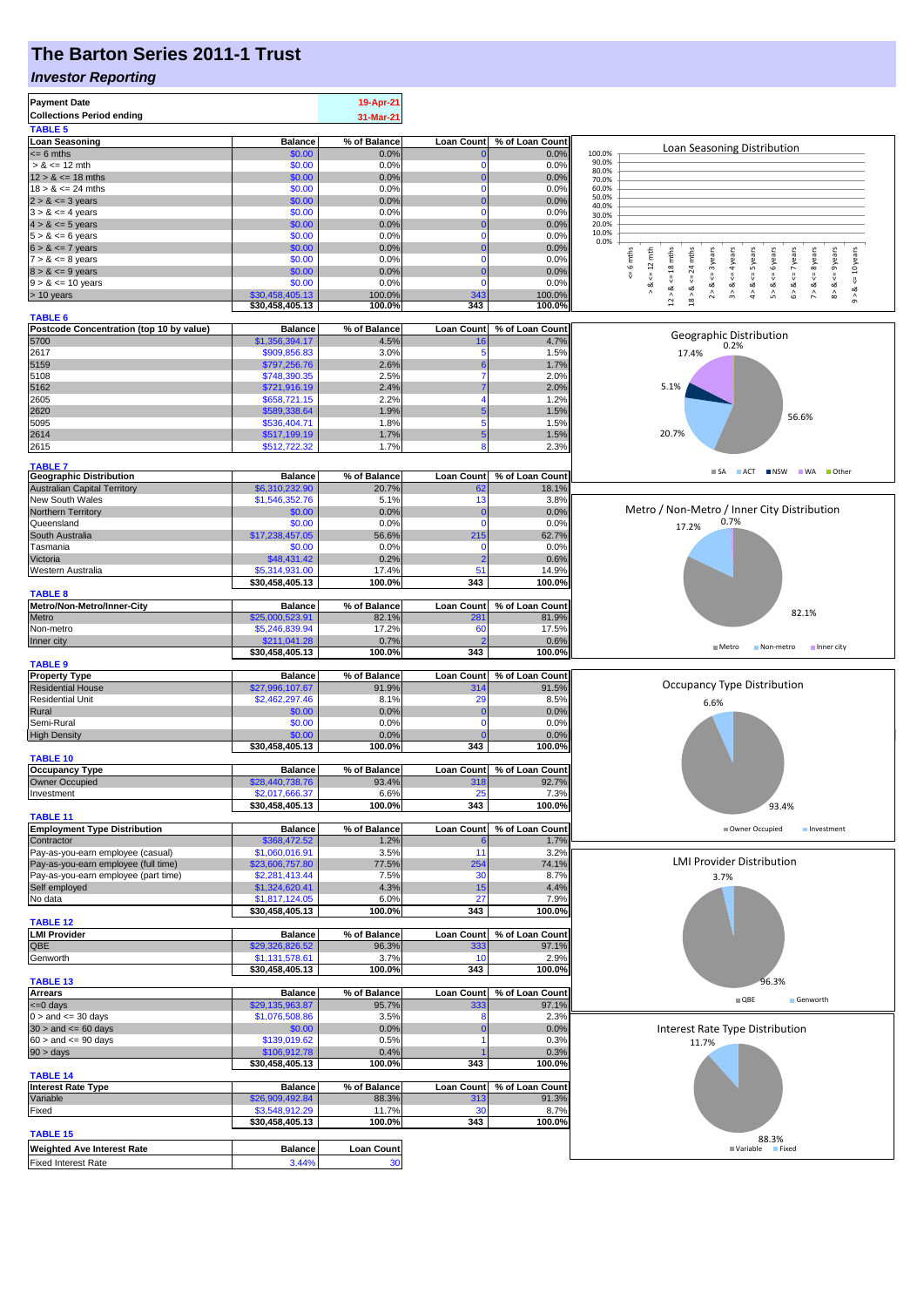## **The Barton Series 2011-1 Trust**

#### *Investor Reporting*

| <b>Payment Date</b>                                                      |                                   | 19-Apr-21             |                          |                          |                                                                                                                                       |
|--------------------------------------------------------------------------|-----------------------------------|-----------------------|--------------------------|--------------------------|---------------------------------------------------------------------------------------------------------------------------------------|
| <b>Collections Period ending</b>                                         |                                   | 31-Mar-21             |                          |                          |                                                                                                                                       |
| <b>TABLE 5</b>                                                           |                                   |                       |                          |                          |                                                                                                                                       |
| <b>Loan Seasoning</b>                                                    | <b>Balance</b>                    | % of Balance          | <b>Loan Count</b>        | % of Loan Count          | Loan Seasoning Distribution                                                                                                           |
| $= 6$ mths                                                               | \$0.00                            | 0.0%                  | 0                        | 0.0%                     | 100.0%<br>90.0%                                                                                                                       |
| $> 8 \le 12$ mth<br>$12 > 8 \le 18$ mths                                 | \$0.00<br>\$0.00                  | 0.0%<br>0.0%          | n<br>$\bf{0}$            | 0.0%<br>0.0%             | 80.0%                                                                                                                                 |
| $18 > 8 \le 24$ mths                                                     | \$0.00                            | 0.0%                  | $\mathbf 0$              | 0.0%                     | 70.0%<br>60.0%                                                                                                                        |
| $2 > 8 \le 3$ years                                                      | \$0.00                            | 0.0%                  |                          | 0.0%                     | 50.0%                                                                                                                                 |
| $3 > 8 \le 4$ years                                                      | \$0.00                            | 0.0%                  |                          | 0.0%                     | 40.0%<br>30.0%                                                                                                                        |
| $4 > 8 \le 5$ years                                                      | \$0.00                            | 0.0%                  |                          | 0.0%                     | 20.0%                                                                                                                                 |
| $5 > 8 \le 6$ years                                                      | \$0.00                            | 0.0%                  | $\Omega$                 | 0.0%                     | 10.0%<br>0.0%                                                                                                                         |
| $6 > 8 \le 7$ years                                                      | \$0.00                            | 0.0%                  |                          | 0.0%                     |                                                                                                                                       |
| $7 > 8 \le 8$ years                                                      | \$0.00                            | 0.0%                  |                          | 0.0%                     | 6 mths<br>$\leq 12$ mth<br>24 mths<br>$\leq$ = 9 years<br><= 3 years<br>$\leq$ = 4 years<br><= 5 years<br>6 years<br>$\leq$ = 8 years |
| $8 > 8 \le 9$ years<br>$9 > 8 \le 10$ years                              | \$0.00<br>\$0.00                  | 0.0%<br>0.0%          | $\Omega$                 | 0.0%<br>0.0%             | $\leq$ 18 mths<br>$\le$ 10 years<br>$6 > 8$ <= 7 years<br>IJ,<br>V<br>V                                                               |
| > 10 years                                                               | \$30,458,405.13                   | 100.0%                | 343                      | 100.0%                   | 2 > 8<br>4 > 8<br>3 > 8<br>5 > 8<br>7 > 8<br>8 > 8<br>ಹ<br>$12 > 8$<br>18 > 8<br>$9 - 8$                                              |
|                                                                          | \$30,458,405.13                   | 100.0%                | 343                      | 100.0%                   |                                                                                                                                       |
| <b>TABLE 6</b>                                                           |                                   |                       |                          |                          |                                                                                                                                       |
| Postcode Concentration (top 10 by value)                                 | <b>Balance</b>                    | % of Balance          | <b>Loan Count</b>        | % of Loan Count          | Geographic Distribution                                                                                                               |
| 5700                                                                     | \$1,356,394.17                    | 4.5%                  |                          | 4.7%                     | 0.2%                                                                                                                                  |
| 2617                                                                     | \$909,856.83                      | 3.0%                  |                          | 1.5%                     | 17.4%                                                                                                                                 |
| 5159<br>5108                                                             | \$797,256.76<br>\$748,390.35      | 2.6%<br>2.5%          |                          | 1.7%<br>2.0%             |                                                                                                                                       |
| 5162                                                                     | \$721,916.19                      | 2.4%                  |                          | 2.0%                     | 5.1%                                                                                                                                  |
| 2605                                                                     | \$658,721.15                      | 2.2%                  |                          | 1.2%                     |                                                                                                                                       |
| 2620                                                                     | \$589,338.64                      | 1.9%                  |                          | 1.5%                     |                                                                                                                                       |
| 5095                                                                     | \$536,404.71                      | 1.8%                  | 5                        | 1.5%                     | 56.6%                                                                                                                                 |
| 2614                                                                     | \$517,199.19                      | 1.7%                  | 5                        | 1.5%                     | 20.7%                                                                                                                                 |
| 2615                                                                     | \$512,722.32                      | 1.7%                  | 8                        | 2.3%                     |                                                                                                                                       |
| <b>TABLE 7</b>                                                           |                                   |                       |                          |                          |                                                                                                                                       |
| <b>Geographic Distribution</b>                                           | <b>Balance</b>                    | % of Balance          | <b>Loan Count</b>        | % of Loan Count          | ACT INSW WA Other<br>$\blacksquare$ SA                                                                                                |
| <b>Australian Capital Territory</b>                                      | \$6,310,232.90                    | 20.7%                 | 62                       | 18.1%                    |                                                                                                                                       |
| New South Wales                                                          | \$1,546,352.76                    | 5.1%                  | 13                       | 3.8%                     |                                                                                                                                       |
| Northern Territory                                                       | \$0.00                            | 0.0%                  | 0                        | 0.0%                     | Metro / Non-Metro / Inner City Distribution                                                                                           |
| Queensland                                                               | \$0.00                            | 0.0%                  | $\Omega$                 | 0.0%                     | 0.7%<br>17.2%                                                                                                                         |
| South Australia                                                          | \$17,238,457.05<br>\$0.00         | 56.6%<br>0.0%         | 215<br>$\Omega$          | 62.7%                    |                                                                                                                                       |
| Tasmania<br>Victoria                                                     | \$48,431.42                       | 0.2%                  | 2                        | 0.0%<br>0.6%             |                                                                                                                                       |
| Western Australia                                                        | \$5,314,931.00                    | 17.4%                 | 51                       | 14.9%                    |                                                                                                                                       |
|                                                                          | \$30,458,405.13                   | 100.0%                | 343                      | 100.0%                   |                                                                                                                                       |
| <b>TABLE 8</b>                                                           |                                   |                       |                          |                          |                                                                                                                                       |
| Metro/Non-Metro/Inner-City                                               | <b>Balance</b>                    | % of Balance          | <b>Loan Count</b>        | % of Loan Count          |                                                                                                                                       |
| Metro                                                                    | \$25,000,523.91                   | 82.1%                 | 28 <sup>2</sup>          | 81.9%                    | 82.1%                                                                                                                                 |
| Non-metro                                                                | \$5,246,839.94                    | 17.2%                 | 60                       | 17.5%                    |                                                                                                                                       |
| Inner city                                                               | \$211,041.28                      | 0.7%                  |                          | 0.6%                     | Metro<br>Non-metro Inner city                                                                                                         |
|                                                                          |                                   |                       |                          |                          |                                                                                                                                       |
|                                                                          | \$30,458,405.13                   | 100.0%                | 343                      | 100.0%                   |                                                                                                                                       |
| <b>TABLE 9</b>                                                           |                                   |                       |                          |                          |                                                                                                                                       |
| <b>Property Type</b>                                                     | <b>Balance</b>                    | % of Balance          | <b>Loan Count</b>        | % of Loan Count          | <b>Occupancy Type Distribution</b>                                                                                                    |
| <b>Residential House</b><br><b>Residential Unit</b>                      | \$27,996,107.67<br>\$2,462,297.46 | 91.9%<br>8.1%         | 314<br><b>29</b>         | 91.5%                    |                                                                                                                                       |
| Rural                                                                    | \$0.00                            | 0.0%                  |                          | 8.5%<br>0.0%             | 6.6%                                                                                                                                  |
| Semi-Rural                                                               | \$0.00                            | 0.0%                  | $\Omega$                 | 0.0%                     |                                                                                                                                       |
| <b>High Density</b>                                                      | \$0.00                            | 0.0%                  |                          | 0.0%                     |                                                                                                                                       |
|                                                                          | \$30,458,405.13                   | 100.0%                | 343                      | 100.0%                   |                                                                                                                                       |
| <b>TABLE 10</b>                                                          |                                   |                       |                          |                          |                                                                                                                                       |
| <b>Occupancy Type</b>                                                    | <b>Balance</b>                    | % of Balance          | <b>Loan Count</b>        | % of Loan Count          |                                                                                                                                       |
| Owner Occupied                                                           | \$28,440,738.76                   | 93.4%                 | 318                      | 92.7%                    |                                                                                                                                       |
| Investment                                                               | \$2,017,666.37<br>\$30,458,405.13 | 6.6%                  | 343                      | 7.3%                     |                                                                                                                                       |
| <b>TABLE 11</b>                                                          |                                   | 100.0%                |                          | 100.0%                   | 93.4%                                                                                                                                 |
|                                                                          | <b>Balance</b>                    | % of Balance          | <b>Loan Count</b>        | % of Loan Count          | Owner Occupied<br>Investment                                                                                                          |
| Contractor                                                               | \$368,472.52                      | 1.2%                  |                          | 1.7%                     |                                                                                                                                       |
| <b>Employment Type Distribution</b><br>Pay-as-you-earn employee (casual) | \$1,060,016.91                    | 3.5%                  | 11                       | 3.2%                     |                                                                                                                                       |
| Pay-as-you-earn employee (full time)                                     | \$23,606,757.80                   | 77.5%                 | 254                      | 74.1%                    | <b>LMI Provider Distribution</b>                                                                                                      |
| Pay-as-you-earn employee (part time)                                     | \$2,281,413.44                    | 7.5%                  | 30                       | 8.7%                     | 3.7%                                                                                                                                  |
| Self employed<br>No data                                                 | \$1,324,620.41<br>\$1,817,124.05  | 4.3%<br>6.0%          | 15<br>27                 | 4.4%<br>7.9%             |                                                                                                                                       |
|                                                                          | \$30,458,405.13                   | 100.0%                | 343                      | 100.0%                   |                                                                                                                                       |
| <b>TABLE 12</b>                                                          |                                   |                       |                          |                          |                                                                                                                                       |
| <b>LMI Provider</b>                                                      | <b>Balance</b>                    | % of Balance          | <b>Loan Count</b>        | % of Loan Count          |                                                                                                                                       |
| QBE                                                                      | \$29,326,826.52                   | 96.3%                 | 333                      | 97.1%                    |                                                                                                                                       |
| Genworth                                                                 | \$1,131,578.61                    | 3.7%                  | 10                       | 2.9%                     |                                                                                                                                       |
|                                                                          | \$30,458,405.13                   | 100.0%                | 343                      | 100.0%                   |                                                                                                                                       |
| <b>TABLE 13</b>                                                          |                                   |                       |                          |                          | 96.3%                                                                                                                                 |
| <b>Arrears</b>                                                           | <b>Balance</b><br>\$29,135,963.87 | % of Balance<br>95.7% | <b>Loan Count</b><br>333 | % of Loan Count<br>97.1% | $\blacksquare$ QBE<br>Genworth                                                                                                        |
| $= 0$ days<br>$0 >$ and $\leq$ 30 days                                   | \$1,076,508.86                    | 3.5%                  | 8                        | 2.3%                     |                                                                                                                                       |
| $30 >$ and $\leq 60$ days                                                | \$0.00                            | 0.0%                  |                          | 0.0%                     | Interest Rate Type Distribution                                                                                                       |
| $60 >$ and $\lt = 90$ days                                               | \$139,019.62                      | 0.5%                  |                          | 0.3%                     | 11.7%                                                                                                                                 |
|                                                                          | \$106,912.78                      | 0.4%                  |                          | 0.3%                     |                                                                                                                                       |
|                                                                          | \$30,458,405.13                   | 100.0%                | 343                      | 100.0%                   |                                                                                                                                       |
| $90 > \text{days}$<br><b>TABLE 14</b>                                    |                                   |                       |                          |                          |                                                                                                                                       |
| <b>Interest Rate Type</b>                                                | <b>Balance</b>                    | % of Balance          | <b>Loan Count</b>        | % of Loan Count          |                                                                                                                                       |
| Variable                                                                 | \$26,909,492.84<br>\$3,548,912.29 | 88.3%<br>11.7%        | 313<br>30                | 91.3%<br>8.7%            |                                                                                                                                       |
| Fixed                                                                    | \$30,458,405.13                   | 100.0%                | 343                      | 100.0%                   |                                                                                                                                       |
| <b>TABLE 15</b>                                                          |                                   |                       |                          |                          |                                                                                                                                       |
| <b>Weighted Ave Interest Rate</b>                                        | <b>Balance</b>                    | <b>Loan Count</b>     |                          |                          | 88.3%<br>■ Variable<br><b>Fixed</b>                                                                                                   |